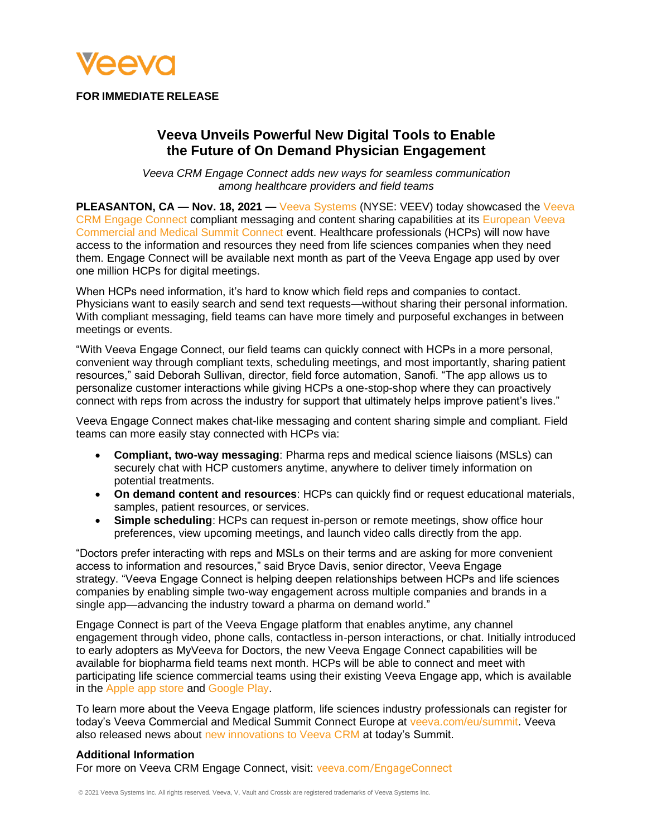

**FOR IMMEDIATE RELEASE**

# **Veeva Unveils Powerful New Digital Tools to Enable the Future of On Demand Physician Engagement**

*Veeva CRM Engage Connect adds new ways for seamless communication among healthcare providers and field teams*

**PLEASANTON, CA — Nov. 18, 2021 —** [Veeva Systems](https://www.veeva.com/) (NYSE: VEEV) today showcased the [Veeva](https://www.veeva.com/products/multichannel-crm/engage-connect/) [CRM Engage Connect](https://www.veeva.com/products/multichannel-crm/engage-connect/) compliant messaging and content sharing capabilities at its [European Veeva](http://veeva.com/eu/summit)  [Commercial and Medical Summit Connect](http://veeva.com/eu/summit) event. Healthcare professionals (HCPs) will now have access to the information and resources they need from life sciences companies when they need them. Engage Connect will be available next month as part of the Veeva Engage app used by over one million HCPs for digital meetings.

When HCPs need information, it's hard to know which field reps and companies to contact. Physicians want to easily search and send text requests—without sharing their personal information. With compliant messaging, field teams can have more timely and purposeful exchanges in between meetings or events.

"With Veeva Engage Connect, our field teams can quickly connect with HCPs in a more personal, convenient way through compliant texts, scheduling meetings, and most importantly, sharing patient resources," said Deborah Sullivan, director, field force automation, Sanofi. "The app allows us to personalize customer interactions while giving HCPs a one-stop-shop where they can proactively connect with reps from across the industry for support that ultimately helps improve patient's lives."

Veeva Engage Connect makes chat-like messaging and content sharing simple and compliant. Field teams can more easily stay connected with HCPs via:

- **Compliant, two-way messaging**: Pharma reps and medical science liaisons (MSLs) can securely chat with HCP customers anytime, anywhere to deliver timely information on potential treatments.
- **On demand content and resources**: HCPs can quickly find or request educational materials, samples, patient resources, or services.
- **Simple scheduling**: HCPs can request in-person or remote meetings, show office hour preferences, view upcoming meetings, and launch video calls directly from the app.

"Doctors prefer interacting with reps and MSLs on their terms and are asking for more convenient access to information and resources," said Bryce Davis, senior director, Veeva Engage strategy. "Veeva Engage Connect is helping deepen relationships between HCPs and life sciences companies by enabling simple two-way engagement across multiple companies and brands in a single app—advancing the industry toward a pharma on demand world."

Engage Connect is part of the Veeva Engage platform that enables anytime, any channel engagement through video, phone calls, contactless in-person interactions, or chat. Initially introduced to early adopters as MyVeeva for Doctors, the new Veeva Engage Connect capabilities will be available for biopharma field teams next month. HCPs will be able to connect and meet with participating life science commercial teams using their existing Veeva Engage app, which is available in the [Apple app store](https://apps.apple.com/us/app/veeva-engage/id1155146582) and [Google Play.](https://play.google.com/store/apps/details?id=com.veeva.engage&hl=en_US&gl=US)

To learn more about the Veeva Engage platform, life sciences industry professionals can register for today's Veeva Commercial and Medical Summit Connect Europe at [veeva.com/eu/summit.](http://www.veeva.com/eu/summit) Veeva also released news about [new innovations to Veeva CRM](https://www.veeva.com/resources/veeva-crm-innovations-power-the-new-hybrid-field-model/) at today's Summit.

## **Additional Information**

For more on Veeva CRM Engage Connect, visit: [veeva.com/EngageConnect](https://www.veeva.com/EngageConnect)